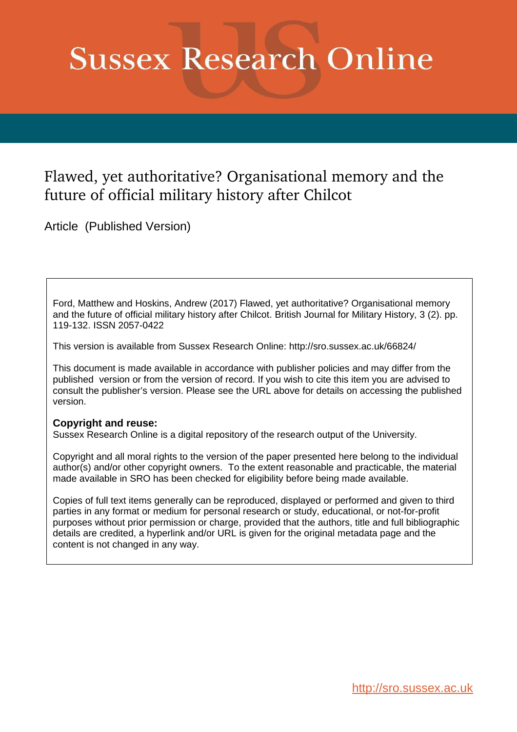# **Sussex Research Online**

# Flawed, yet authoritative? Organisational memory and the future of official military history after Chilcot

Article (Published Version)

Ford, Matthew and Hoskins, Andrew (2017) Flawed, yet authoritative? Organisational memory and the future of official military history after Chilcot. British Journal for Military History, 3 (2). pp. 119-132. ISSN 2057-0422

This version is available from Sussex Research Online: http://sro.sussex.ac.uk/66824/

This document is made available in accordance with publisher policies and may differ from the published version or from the version of record. If you wish to cite this item you are advised to consult the publisher's version. Please see the URL above for details on accessing the published version.

#### **Copyright and reuse:**

Sussex Research Online is a digital repository of the research output of the University.

Copyright and all moral rights to the version of the paper presented here belong to the individual author(s) and/or other copyright owners. To the extent reasonable and practicable, the material made available in SRO has been checked for eligibility before being made available.

Copies of full text items generally can be reproduced, displayed or performed and given to third parties in any format or medium for personal research or study, educational, or not-for-profit purposes without prior permission or charge, provided that the authors, title and full bibliographic details are credited, a hyperlink and/or URL is given for the original metadata page and the content is not changed in any way.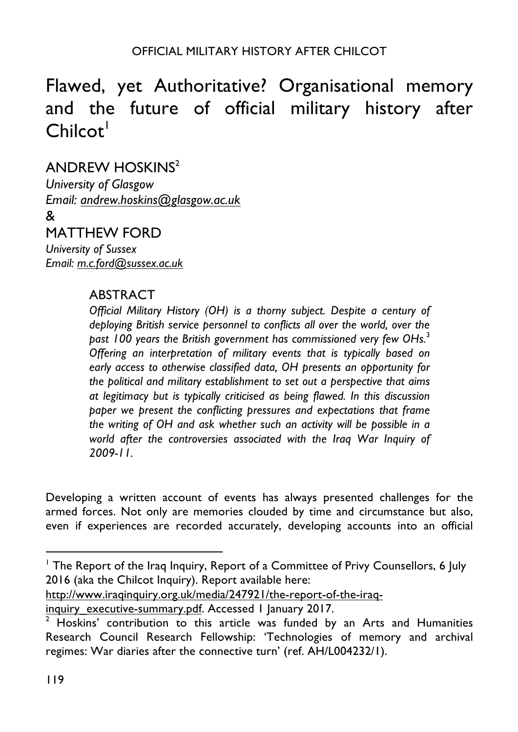# Flawed, yet Authoritative? Organisational memory and the future of official military history after  $Chilcot<sup>1</sup>$

# ANDREW HOSKINS<sup>2</sup>

*University of Glasgow Email: andrew.hoskins@glasgow.ac.uk*

&

# MATTHEW FORD

*University of Sussex Email: m.c.ford@sussex.ac.uk*

### ABSTRACT

<u> 1989 - Johann Barn, fransk politik amerikansk politik (</u>

*Official Military History (OH) is a thorny subject. Despite a century of deploying British service personnel to conflicts all over the world, over the past 100 years the British government has commissioned very few OHs.*<sup>3</sup> *Offering an interpretation of military events that is typically based on early access to otherwise classified data, OH presents an opportunity for the political and military establishment to set out a perspective that aims at legitimacy but is typically criticised as being flawed. In this discussion paper we present the conflicting pressures and expectations that frame the writing of OH and ask whether such an activity will be possible in a world after the controversies associated with the Iraq War Inquiry of 2009-11.*

Developing a written account of events has always presented challenges for the armed forces. Not only are memories clouded by time and circumstance but also, even if experiences are recorded accurately, developing accounts into an official

http://www.iraqinquiry.org.uk/media/247921/the-report-of-the-iraq-

<sup>&</sup>lt;sup>1</sup> The Report of the Iraq Inquiry, Report of a Committee of Privy Counsellors, 6 July 2016 (aka the Chilcot Inquiry). Report available here:

inquiry executive-summary.pdf. Accessed 1 January 2017.

 $\overline{2}$  Hoskins' contribution to this article was funded by an Arts and Humanities Research Council Research Fellowship: 'Technologies of memory and archival regimes: War diaries after the connective turn' (ref. AH/L004232/1).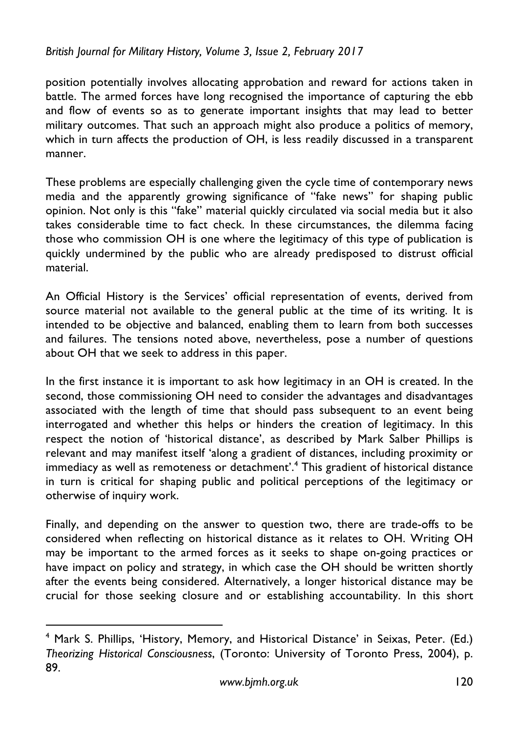position potentially involves allocating approbation and reward for actions taken in battle. The armed forces have long recognised the importance of capturing the ebb and flow of events so as to generate important insights that may lead to better military outcomes. That such an approach might also produce a politics of memory, which in turn affects the production of OH, is less readily discussed in a transparent manner.

These problems are especially challenging given the cycle time of contemporary news media and the apparently growing significance of "fake news" for shaping public opinion. Not only is this "fake" material quickly circulated via social media but it also takes considerable time to fact check. In these circumstances, the dilemma facing those who commission OH is one where the legitimacy of this type of publication is quickly undermined by the public who are already predisposed to distrust official material.

An Official History is the Services' official representation of events, derived from source material not available to the general public at the time of its writing. It is intended to be objective and balanced, enabling them to learn from both successes and failures. The tensions noted above, nevertheless, pose a number of questions about OH that we seek to address in this paper.

In the first instance it is important to ask how legitimacy in an OH is created. In the second, those commissioning OH need to consider the advantages and disadvantages associated with the length of time that should pass subsequent to an event being interrogated and whether this helps or hinders the creation of legitimacy. In this respect the notion of 'historical distance', as described by Mark Salber Phillips is relevant and may manifest itself 'along a gradient of distances, including proximity or immediacy as well as remoteness or detachment'.<sup>4</sup> This gradient of historical distance in turn is critical for shaping public and political perceptions of the legitimacy or otherwise of inquiry work.

Finally, and depending on the answer to question two, there are trade-offs to be considered when reflecting on historical distance as it relates to OH. Writing OH may be important to the armed forces as it seeks to shape on-going practices or have impact on policy and strategy, in which case the OH should be written shortly after the events being considered. Alternatively, a longer historical distance may be crucial for those seeking closure and or establishing accountability. In this short

<sup>&</sup>lt;sup>4</sup> Mark S. Phillips, 'History, Memory, and Historical Distance' in Seixas, Peter. (Ed.) *Theorizing Historical Consciousness*, (Toronto: University of Toronto Press, 2004), p. 89.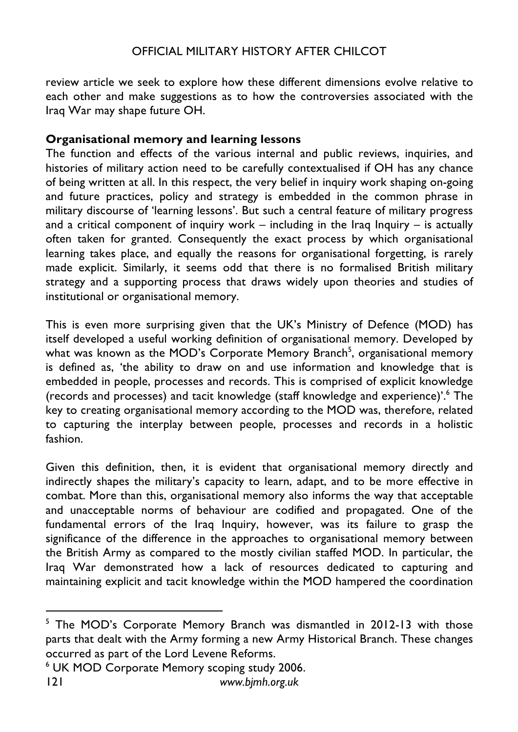review article we seek to explore how these different dimensions evolve relative to each other and make suggestions as to how the controversies associated with the Iraq War may shape future OH.

#### **Organisational memory and learning lessons**

The function and effects of the various internal and public reviews, inquiries, and histories of military action need to be carefully contextualised if OH has any chance of being written at all. In this respect, the very belief in inquiry work shaping on-going and future practices, policy and strategy is embedded in the common phrase in military discourse of 'learning lessons'. But such a central feature of military progress and a critical component of inquiry work  $-$  including in the Iraq Inquiry  $-$  is actually often taken for granted. Consequently the exact process by which organisational learning takes place, and equally the reasons for organisational forgetting, is rarely made explicit. Similarly, it seems odd that there is no formalised British military strategy and a supporting process that draws widely upon theories and studies of institutional or organisational memory.

This is even more surprising given that the UK's Ministry of Defence (MOD) has itself developed a useful working definition of organisational memory. Developed by what was known as the MOD's Corporate Memory Branch<sup>5</sup>, organisational memory is defined as, 'the ability to draw on and use information and knowledge that is embedded in people, processes and records. This is comprised of explicit knowledge (records and processes) and tacit knowledge (staff knowledge and experience)'.<sup>6</sup> The key to creating organisational memory according to the MOD was, therefore, related to capturing the interplay between people, processes and records in a holistic fashion.

Given this definition, then, it is evident that organisational memory directly and indirectly shapes the military's capacity to learn, adapt, and to be more effective in combat. More than this, organisational memory also informs the way that acceptable and unacceptable norms of behaviour are codified and propagated. One of the fundamental errors of the Iraq Inquiry, however, was its failure to grasp the significance of the difference in the approaches to organisational memory between the British Army as compared to the mostly civilian staffed MOD. In particular, the Iraq War demonstrated how a lack of resources dedicated to capturing and maintaining explicit and tacit knowledge within the MOD hampered the coordination

<u> 1989 - Johann Barn, fransk politik amerikansk politik (</u>

<sup>&</sup>lt;sup>5</sup> The MOD's Corporate Memory Branch was dismantled in 2012-13 with those parts that dealt with the Army forming a new Army Historical Branch. These changes occurred as part of the Lord Levene Reforms.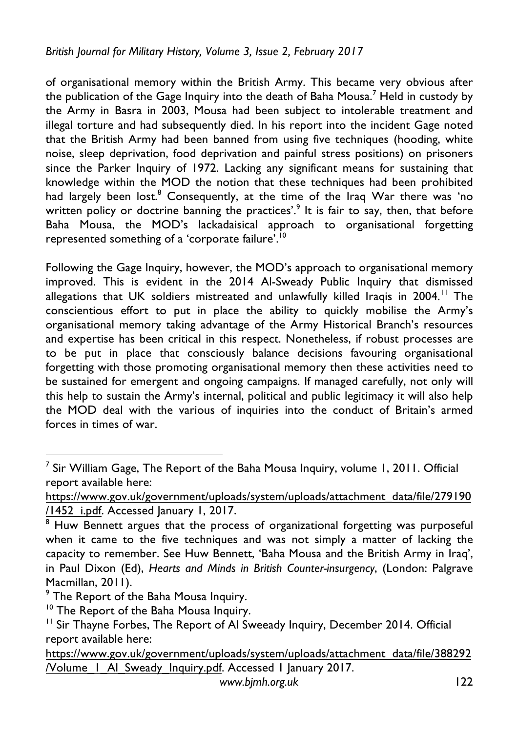of organisational memory within the British Army. This became very obvious after the publication of the Gage Inquiry into the death of Baha Mousa.<sup>7</sup> Held in custody by the Army in Basra in 2003, Mousa had been subject to intolerable treatment and illegal torture and had subsequently died. In his report into the incident Gage noted that the British Army had been banned from using five techniques (hooding, white noise, sleep deprivation, food deprivation and painful stress positions) on prisoners since the Parker Inquiry of 1972. Lacking any significant means for sustaining that knowledge within the MOD the notion that these techniques had been prohibited had largely been lost.<sup>8</sup> Consequently, at the time of the Iraq War there was 'no written policy or doctrine banning the practices'.<sup>9</sup> It is fair to say, then, that before Baha Mousa, the MOD's lackadaisical approach to organisational forgetting represented something of a 'corporate failure'.<sup>10</sup>

Following the Gage Inquiry, however, the MOD's approach to organisational memory improved. This is evident in the 2014 Al-Sweady Public Inquiry that dismissed allegations that UK soldiers mistreated and unlawfully killed Iraqis in 2004.<sup>11</sup> The conscientious effort to put in place the ability to quickly mobilise the Army's organisational memory taking advantage of the Army Historical Branch's resources and expertise has been critical in this respect. Nonetheless, if robust processes are to be put in place that consciously balance decisions favouring organisational forgetting with those promoting organisational memory then these activities need to be sustained for emergent and ongoing campaigns. If managed carefully, not only will this help to sustain the Army's internal, political and public legitimacy it will also help the MOD deal with the various of inquiries into the conduct of Britain's armed forces in times of war.

<sup>&</sup>lt;sup>7</sup> Sir William Gage, The Report of the Baha Mousa Inquiry, volume 1, 2011. Official report available here:

https://www.gov.uk/government/uploads/system/uploads/attachment\_data/file/279190 /1452\_i.pdf. Accessed January 1, 2017.

<sup>&</sup>lt;sup>8</sup> Huw Bennett argues that the process of organizational forgetting was purposeful when it came to the five techniques and was not simply a matter of lacking the capacity to remember. See Huw Bennett, 'Baha Mousa and the British Army in Iraq', in Paul Dixon (Ed), *Hearts and Minds in British Counter-insurgency*, (London: Palgrave Macmillan, 2011).

<sup>&</sup>lt;sup>9</sup> The Report of the Baha Mousa Inquiry.

<sup>&</sup>lt;sup>10</sup> The Report of the Baha Mousa Inquiry.

<sup>&</sup>lt;sup>11</sup> Sir Thayne Forbes, The Report of Al Sweeady Inquiry, December 2014. Official report available here:

https://www.gov.uk/government/uploads/system/uploads/attachment\_data/file/388292 /Volume\_1\_Al\_Sweady\_Inquiry.pdf. Accessed 1 January 2017.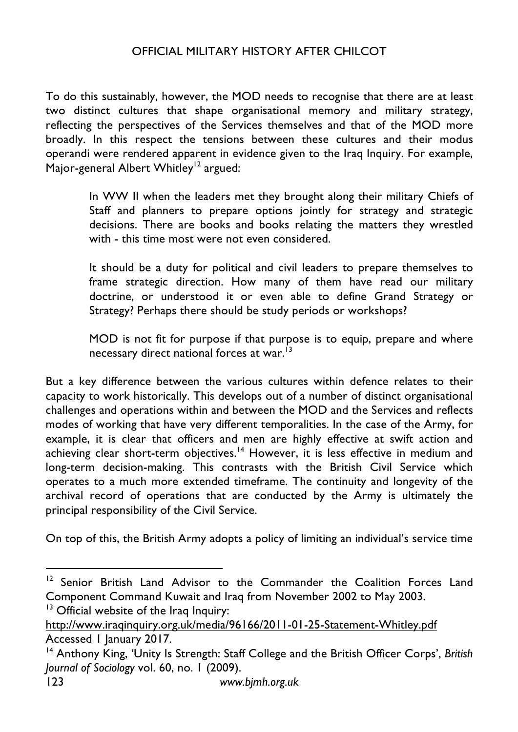To do this sustainably, however, the MOD needs to recognise that there are at least two distinct cultures that shape organisational memory and military strategy, reflecting the perspectives of the Services themselves and that of the MOD more broadly. In this respect the tensions between these cultures and their modus operandi were rendered apparent in evidence given to the Iraq Inquiry. For example, Major-general Albert Whitley<sup>12</sup> argued:

In WW II when the leaders met they brought along their military Chiefs of Staff and planners to prepare options jointly for strategy and strategic decisions. There are books and books relating the matters they wrestled with - this time most were not even considered.

It should be a duty for political and civil leaders to prepare themselves to frame strategic direction. How many of them have read our military doctrine, or understood it or even able to define Grand Strategy or Strategy? Perhaps there should be study periods or workshops?

MOD is not fit for purpose if that purpose is to equip, prepare and where necessary direct national forces at war.<sup>13</sup>

But a key difference between the various cultures within defence relates to their capacity to work historically. This develops out of a number of distinct organisational challenges and operations within and between the MOD and the Services and reflects modes of working that have very different temporalities. In the case of the Army, for example, it is clear that officers and men are highly effective at swift action and achieving clear short-term objectives.<sup>14</sup> However, it is less effective in medium and long-term decision-making. This contrasts with the British Civil Service which operates to a much more extended timeframe. The continuity and longevity of the archival record of operations that are conducted by the Army is ultimately the principal responsibility of the Civil Service.

On top of this, the British Army adopts a policy of limiting an individual's service time

<sup>&</sup>lt;sup>12</sup> Senior British Land Advisor to the Commander the Coalition Forces Land Component Command Kuwait and Iraq from November 2002 to May 2003.

 $13$  Official website of the Iraq Inquiry:

http://www.iraqinquiry.org.uk/media/96166/2011-01-25-Statement-Whitley.pdf Accessed 1 January 2017.

<sup>14</sup> Anthony King, 'Unity Is Strength: Staff College and the British Officer Corps', *British Journal of Sociology* vol. 60, no. 1 (2009).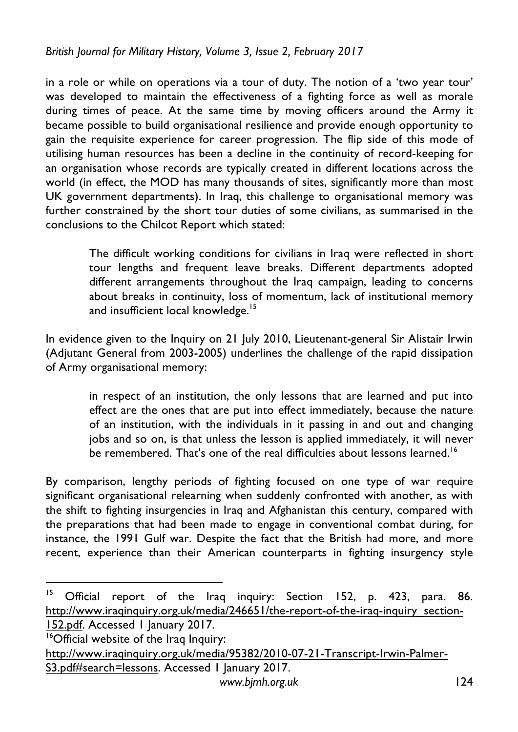in a role or while on operations via a tour of duty. The notion of a 'two year tour' was developed to maintain the effectiveness of a fighting force as well as morale during times of peace. At the same time by moving officers around the Army it became possible to build organisational resilience and provide enough opportunity to gain the requisite experience for career progression. The flip side of this mode of utilising human resources has been a decline in the continuity of record-keeping for an organisation whose records are typically created in different locations across the world (in effect, the MOD has many thousands of sites, significantly more than most UK government departments). In Iraq, this challenge to organisational memory was further constrained by the short tour duties of some civilians, as summarised in the conclusions to the Chilcot Report which stated:

> The difficult working conditions for civilians in Iraq were reflected in short tour lengths and frequent leave breaks. Different departments adopted different arrangements throughout the Iraq campaign, leading to concerns about breaks in continuity, loss of momentum, lack of institutional memory and insufficient local knowledge.<sup>15</sup>

In evidence given to the Inquiry on 21 July 2010, Lieutenant-general Sir Alistair Irwin (Adjutant General from 2003-2005) underlines the challenge of the rapid dissipation of Army organisational memory:

> in respect of an institution, the only lessons that are learned and put into effect are the ones that are put into effect immediately, because the nature of an institution, with the individuals in it passing in and out and changing jobs and so on, is that unless the lesson is applied immediately, it will never be remembered. That's one of the real difficulties about lessons learned.<sup>16</sup>

By comparison, lengthy periods of fighting focused on one type of war require significant organisational relearning when suddenly confronted with another, as with the shift to fighting insurgencies in Iraq and Afghanistan this century, compared with the preparations that had been made to engage in conventional combat during, for instance, the 1991 Gulf war. Despite the fact that the British had more, and more recent, experience than their American counterparts in fighting insurgency style

<sup>15</sup> Official report of the Iraq inquiry: Section 152, p. 423, para. 86. http://www.iraqinquiry.org.uk/media/246651/the-report-of-the-iraq-inquiry\_section-152.pdf. Accessed 1 January 2017. <sup>16</sup>Official website of the Iraq Inquiry:

http://www.iraqinquiry.org.uk/media/95382/2010-07-21-Transcript-Irwin-Palmer-S3.pdf#search=lessons. Accessed 1 January 2017.

<u> 1989 - Johann Barn, fransk politik amerikansk politik (</u>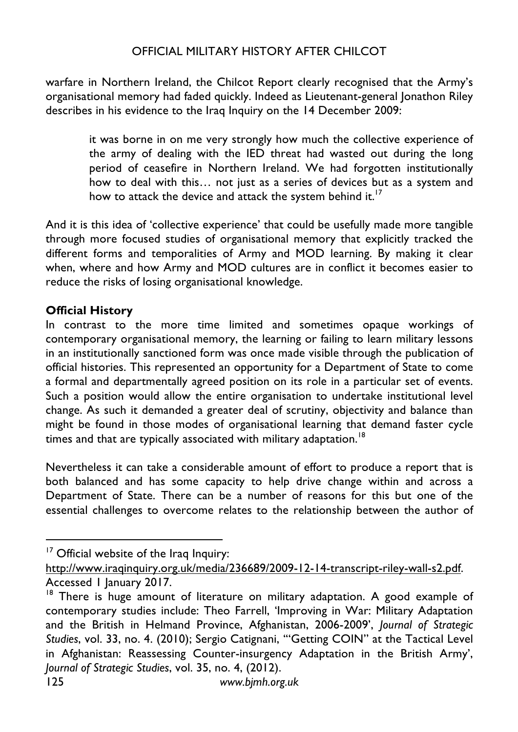warfare in Northern Ireland, the Chilcot Report clearly recognised that the Army's organisational memory had faded quickly. Indeed as Lieutenant-general Jonathon Riley describes in his evidence to the Iraq Inquiry on the 14 December 2009:

it was borne in on me very strongly how much the collective experience of the army of dealing with the IED threat had wasted out during the long period of ceasefire in Northern Ireland. We had forgotten institutionally how to deal with this… not just as a series of devices but as a system and how to attack the device and attack the system behind it.<sup>17</sup>

And it is this idea of 'collective experience' that could be usefully made more tangible through more focused studies of organisational memory that explicitly tracked the different forms and temporalities of Army and MOD learning. By making it clear when, where and how Army and MOD cultures are in conflict it becomes easier to reduce the risks of losing organisational knowledge.

#### **Official History**

In contrast to the more time limited and sometimes opaque workings of contemporary organisational memory, the learning or failing to learn military lessons in an institutionally sanctioned form was once made visible through the publication of official histories. This represented an opportunity for a Department of State to come a formal and departmentally agreed position on its role in a particular set of events. Such a position would allow the entire organisation to undertake institutional level change. As such it demanded a greater deal of scrutiny, objectivity and balance than might be found in those modes of organisational learning that demand faster cycle times and that are typically associated with military adaptation.<sup>18</sup>

Nevertheless it can take a considerable amount of effort to produce a report that is both balanced and has some capacity to help drive change within and across a Department of State. There can be a number of reasons for this but one of the essential challenges to overcome relates to the relationship between the author of

 $17$  Official website of the Iraq Inquiry:

http://www.iraqinquiry.org.uk/media/236689/2009-12-14-transcript-riley-wall-s2.pdf. Accessed 1 January 2017.

 $18$  There is huge amount of literature on military adaptation. A good example of contemporary studies include: Theo Farrell, 'Improving in War: Military Adaptation and the British in Helmand Province, Afghanistan, 2006-2009', *Journal of Strategic Studies*, vol. 33, no. 4. (2010); Sergio Catignani, '"Getting COIN" at the Tactical Level in Afghanistan: Reassessing Counter-insurgency Adaptation in the British Army', *Journal of Strategic Studies*, vol. 35, no. 4, (2012).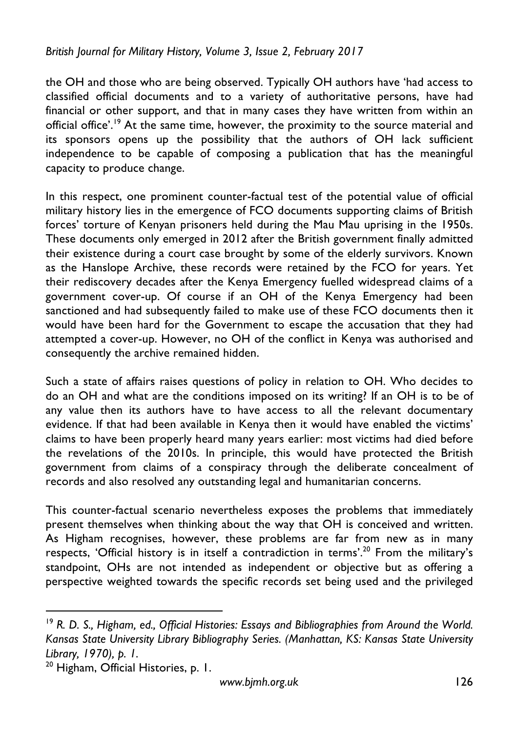the OH and those who are being observed. Typically OH authors have 'had access to classified official documents and to a variety of authoritative persons, have had financial or other support, and that in many cases they have written from within an official office'.<sup>19</sup> At the same time, however, the proximity to the source material and its sponsors opens up the possibility that the authors of OH lack sufficient independence to be capable of composing a publication that has the meaningful capacity to produce change.

In this respect, one prominent counter-factual test of the potential value of official military history lies in the emergence of FCO documents supporting claims of British forces' torture of Kenyan prisoners held during the Mau Mau uprising in the 1950s. These documents only emerged in 2012 after the British government finally admitted their existence during a court case brought by some of the elderly survivors. Known as the Hanslope Archive, these records were retained by the FCO for years. Yet their rediscovery decades after the Kenya Emergency fuelled widespread claims of a government cover-up. Of course if an OH of the Kenya Emergency had been sanctioned and had subsequently failed to make use of these FCO documents then it would have been hard for the Government to escape the accusation that they had attempted a cover-up. However, no OH of the conflict in Kenya was authorised and consequently the archive remained hidden.

Such a state of affairs raises questions of policy in relation to OH. Who decides to do an OH and what are the conditions imposed on its writing? If an OH is to be of any value then its authors have to have access to all the relevant documentary evidence. If that had been available in Kenya then it would have enabled the victims' claims to have been properly heard many years earlier: most victims had died before the revelations of the 2010s. In principle, this would have protected the British government from claims of a conspiracy through the deliberate concealment of records and also resolved any outstanding legal and humanitarian concerns.

This counter-factual scenario nevertheless exposes the problems that immediately present themselves when thinking about the way that OH is conceived and written. As Higham recognises, however, these problems are far from new as in many respects, 'Official history is in itself a contradiction in terms'.<sup>20</sup> From the military's standpoint, OHs are not intended as independent or objective but as offering a perspective weighted towards the specific records set being used and the privileged

<u> 1989 - Johann Barn, fransk politik amerikansk politik (</u>

<sup>19</sup> *R. D. S., Higham, ed., Official Histories: Essays and Bibliographies from Around the World. Kansas State University Library Bibliography Series. (Manhattan, KS: Kansas State University Library, 1970), p. 1.*

<sup>&</sup>lt;sup>20</sup> Higham, Official Histories, p. 1.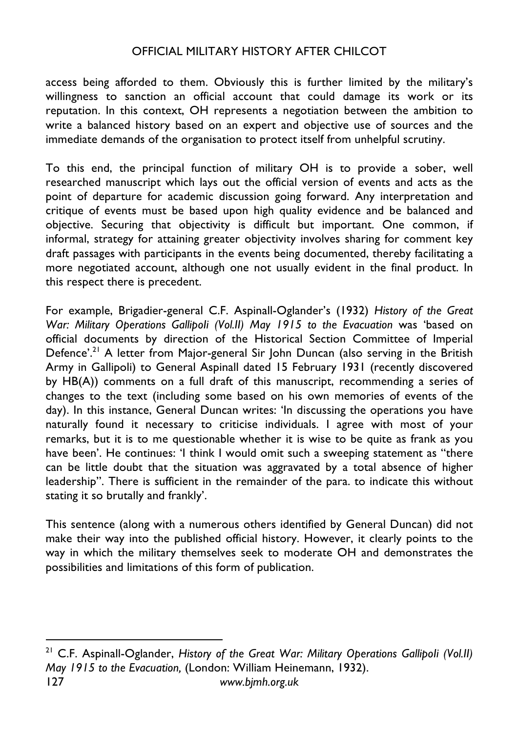access being afforded to them. Obviously this is further limited by the military's willingness to sanction an official account that could damage its work or its reputation. In this context, OH represents a negotiation between the ambition to write a balanced history based on an expert and objective use of sources and the immediate demands of the organisation to protect itself from unhelpful scrutiny.

To this end, the principal function of military OH is to provide a sober, well researched manuscript which lays out the official version of events and acts as the point of departure for academic discussion going forward. Any interpretation and critique of events must be based upon high quality evidence and be balanced and objective. Securing that objectivity is difficult but important. One common, if informal, strategy for attaining greater objectivity involves sharing for comment key draft passages with participants in the events being documented, thereby facilitating a more negotiated account, although one not usually evident in the final product. In this respect there is precedent.

For example, Brigadier-general C.F. Aspinall-Oglander's (1932) *History of the Great War: Military Operations GallipoIi (Vol.II) May 1915 to the Evacuation* was 'based on official documents by direction of the Historical Section Committee of Imperial Defence'.<sup>21</sup> A letter from Major-general Sir John Duncan (also serving in the British Army in Gallipoli) to General Aspinall dated 15 February 1931 (recently discovered by HB(A)) comments on a full draft of this manuscript, recommending a series of changes to the text (including some based on his own memories of events of the day). In this instance, General Duncan writes: 'In discussing the operations you have naturally found it necessary to criticise individuals. I agree with most of your remarks, but it is to me questionable whether it is wise to be quite as frank as you have been'. He continues: 'I think I would omit such a sweeping statement as "there can be little doubt that the situation was aggravated by a total absence of higher leadership". There is sufficient in the remainder of the para. to indicate this without stating it so brutally and frankly'.

This sentence (along with a numerous others identified by General Duncan) did not make their way into the published official history. However, it clearly points to the way in which the military themselves seek to moderate OH and demonstrates the possibilities and limitations of this form of publication.

127 *www.bjmh.org.uk* <sup>21</sup> C.F. Aspinall-Oglander, *History of the Great War: Military Operations Gallipoli (Vol.II) May 1915 to the Evacuation,* (London: William Heinemann, 1932).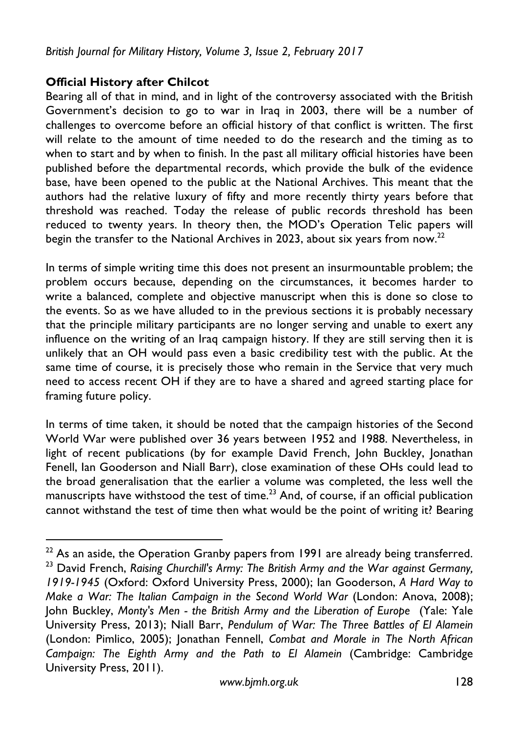#### **Official History after Chilcot**

<u> 1989 - Johann Barn, mars eta inperiodo</u>

Bearing all of that in mind, and in light of the controversy associated with the British Government's decision to go to war in Iraq in 2003, there will be a number of challenges to overcome before an official history of that conflict is written. The first will relate to the amount of time needed to do the research and the timing as to when to start and by when to finish. In the past all military official histories have been published before the departmental records, which provide the bulk of the evidence base, have been opened to the public at the National Archives. This meant that the authors had the relative luxury of fifty and more recently thirty years before that threshold was reached. Today the release of public records threshold has been reduced to twenty years. In theory then, the MOD's Operation Telic papers will begin the transfer to the National Archives in 2023, about six years from now.<sup>22</sup>

In terms of simple writing time this does not present an insurmountable problem; the problem occurs because, depending on the circumstances, it becomes harder to write a balanced, complete and objective manuscript when this is done so close to the events. So as we have alluded to in the previous sections it is probably necessary that the principle military participants are no longer serving and unable to exert any influence on the writing of an Iraq campaign history. If they are still serving then it is unlikely that an OH would pass even a basic credibility test with the public. At the same time of course, it is precisely those who remain in the Service that very much need to access recent OH if they are to have a shared and agreed starting place for framing future policy.

In terms of time taken, it should be noted that the campaign histories of the Second World War were published over 36 years between 1952 and 1988. Nevertheless, in light of recent publications (by for example David French, John Buckley, Jonathan Fenell, Ian Gooderson and Niall Barr), close examination of these OHs could lead to the broad generalisation that the earlier a volume was completed, the less well the manuscripts have withstood the test of time.<sup>23</sup> And, of course, if an official publication cannot withstand the test of time then what would be the point of writing it? Bearing

 $22$  As an aside, the Operation Granby papers from 1991 are already being transferred. <sup>23</sup> David French, *Raising Churchill's Army: The British Army and the War against Germany, 1919-1945* (Oxford: Oxford University Press, 2000); Ian Gooderson, *A Hard Way to Make a War: The Italian Campaign in the Second World War* (London: Anova, 2008); John Buckley, *Monty's Men - the British Army and the Liberation of Europe* (Yale: Yale University Press, 2013); Niall Barr, *Pendulum of War: The Three Battles of El Alamein* (London: Pimlico, 2005); Jonathan Fennell, *Combat and Morale in The North African Campaign: The Eighth Army and the Path to El Alamein* (Cambridge: Cambridge University Press, 2011).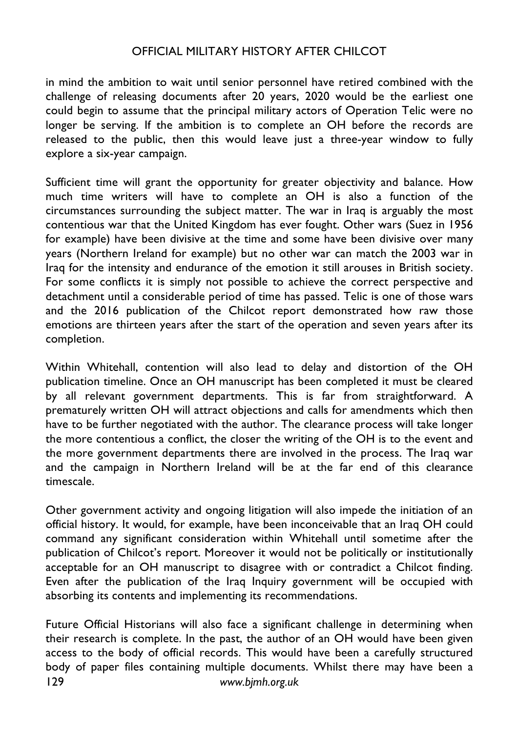in mind the ambition to wait until senior personnel have retired combined with the challenge of releasing documents after 20 years, 2020 would be the earliest one could begin to assume that the principal military actors of Operation Telic were no longer be serving. If the ambition is to complete an OH before the records are released to the public, then this would leave just a three-year window to fully explore a six-year campaign.

Sufficient time will grant the opportunity for greater objectivity and balance. How much time writers will have to complete an OH is also a function of the circumstances surrounding the subject matter. The war in Iraq is arguably the most contentious war that the United Kingdom has ever fought. Other wars (Suez in 1956 for example) have been divisive at the time and some have been divisive over many years (Northern Ireland for example) but no other war can match the 2003 war in Iraq for the intensity and endurance of the emotion it still arouses in British society. For some conflicts it is simply not possible to achieve the correct perspective and detachment until a considerable period of time has passed. Telic is one of those wars and the 2016 publication of the Chilcot report demonstrated how raw those emotions are thirteen years after the start of the operation and seven years after its completion.

Within Whitehall, contention will also lead to delay and distortion of the OH publication timeline. Once an OH manuscript has been completed it must be cleared by all relevant government departments. This is far from straightforward. A prematurely written OH will attract objections and calls for amendments which then have to be further negotiated with the author. The clearance process will take longer the more contentious a conflict, the closer the writing of the OH is to the event and the more government departments there are involved in the process. The Iraq war and the campaign in Northern Ireland will be at the far end of this clearance timescale.

Other government activity and ongoing litigation will also impede the initiation of an official history. It would, for example, have been inconceivable that an Iraq OH could command any significant consideration within Whitehall until sometime after the publication of Chilcot's report. Moreover it would not be politically or institutionally acceptable for an OH manuscript to disagree with or contradict a Chilcot finding. Even after the publication of the Iraq Inquiry government will be occupied with absorbing its contents and implementing its recommendations.

129 *www.bjmh.org.uk* Future Official Historians will also face a significant challenge in determining when their research is complete. In the past, the author of an OH would have been given access to the body of official records. This would have been a carefully structured body of paper files containing multiple documents. Whilst there may have been a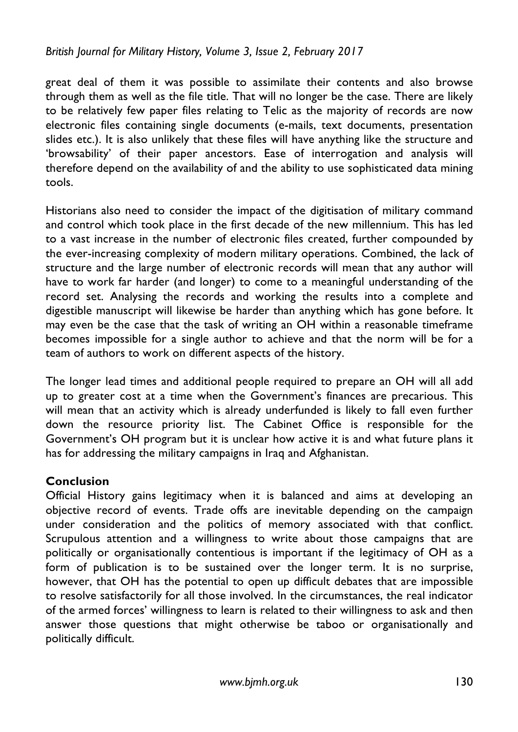great deal of them it was possible to assimilate their contents and also browse through them as well as the file title. That will no longer be the case. There are likely to be relatively few paper files relating to Telic as the majority of records are now electronic files containing single documents (e-mails, text documents, presentation slides etc.). It is also unlikely that these files will have anything like the structure and 'browsability' of their paper ancestors. Ease of interrogation and analysis will therefore depend on the availability of and the ability to use sophisticated data mining tools.

Historians also need to consider the impact of the digitisation of military command and control which took place in the first decade of the new millennium. This has led to a vast increase in the number of electronic files created, further compounded by the ever-increasing complexity of modern military operations. Combined, the lack of structure and the large number of electronic records will mean that any author will have to work far harder (and longer) to come to a meaningful understanding of the record set. Analysing the records and working the results into a complete and digestible manuscript will likewise be harder than anything which has gone before. It may even be the case that the task of writing an OH within a reasonable timeframe becomes impossible for a single author to achieve and that the norm will be for a team of authors to work on different aspects of the history.

The longer lead times and additional people required to prepare an OH will all add up to greater cost at a time when the Government's finances are precarious. This will mean that an activity which is already underfunded is likely to fall even further down the resource priority list. The Cabinet Office is responsible for the Government's OH program but it is unclear how active it is and what future plans it has for addressing the military campaigns in Iraq and Afghanistan.

#### **Conclusion**

Official History gains legitimacy when it is balanced and aims at developing an objective record of events. Trade offs are inevitable depending on the campaign under consideration and the politics of memory associated with that conflict. Scrupulous attention and a willingness to write about those campaigns that are politically or organisationally contentious is important if the legitimacy of OH as a form of publication is to be sustained over the longer term. It is no surprise, however, that OH has the potential to open up difficult debates that are impossible to resolve satisfactorily for all those involved. In the circumstances, the real indicator of the armed forces' willingness to learn is related to their willingness to ask and then answer those questions that might otherwise be taboo or organisationally and politically difficult.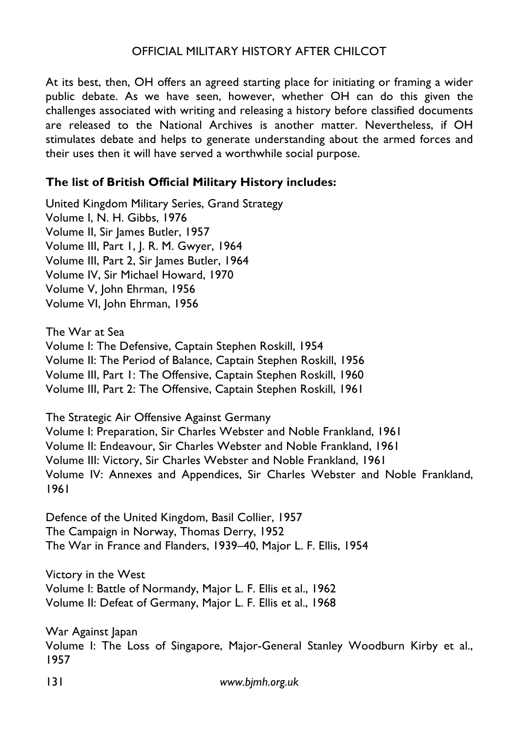At its best, then, OH offers an agreed starting place for initiating or framing a wider public debate. As we have seen, however, whether OH can do this given the challenges associated with writing and releasing a history before classified documents are released to the National Archives is another matter. Nevertheless, if OH stimulates debate and helps to generate understanding about the armed forces and their uses then it will have served a worthwhile social purpose.

#### **The list of British Official Military History includes:**

United Kingdom Military Series, Grand Strategy Volume I, N. H. Gibbs, 1976 Volume II, Sir James Butler, 1957 Volume III, Part 1, J. R. M. Gwyer, 1964 Volume III, Part 2, Sir James Butler, 1964 Volume IV, Sir Michael Howard, 1970 Volume V, John Ehrman, 1956 Volume VI, John Ehrman, 1956

The War at Sea Volume I: The Defensive, Captain Stephen Roskill, 1954 Volume II: The Period of Balance, Captain Stephen Roskill, 1956 Volume III, Part 1: The Offensive, Captain Stephen Roskill, 1960 Volume III, Part 2: The Offensive, Captain Stephen Roskill, 1961

The Strategic Air Offensive Against Germany Volume I: Preparation, Sir Charles Webster and Noble Frankland, 1961 Volume II: Endeavour, Sir Charles Webster and Noble Frankland, 1961 Volume III: Victory, Sir Charles Webster and Noble Frankland, 1961 Volume IV: Annexes and Appendices, Sir Charles Webster and Noble Frankland, 1961

Defence of the United Kingdom, Basil Collier, 1957 The Campaign in Norway, Thomas Derry, 1952 The War in France and Flanders, 1939–40, Major L. F. Ellis, 1954

Victory in the West Volume I: Battle of Normandy, Major L. F. Ellis et al., 1962 Volume II: Defeat of Germany, Major L. F. Ellis et al., 1968

War Against Japan Volume I: The Loss of Singapore, Major-General Stanley Woodburn Kirby et al., 1957